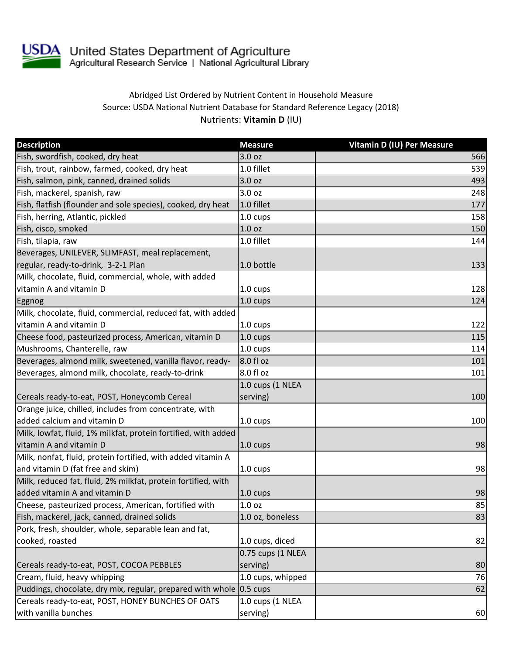

USDA United States Department of Agriculture<br>Agricultural Research Service | National Agricultural Library

## Abridged List Ordered by Nutrient Content in Household Measure Source: USDA National Nutrient Database for Standard Reference Legacy (2018) Nutrients: **Vitamin D** (IU)

| <b>Description</b>                                                  | <b>Measure</b>     | Vitamin D (IU) Per Measure |
|---------------------------------------------------------------------|--------------------|----------------------------|
| Fish, swordfish, cooked, dry heat                                   | 3.0 <sub>oz</sub>  | 566                        |
| Fish, trout, rainbow, farmed, cooked, dry heat                      | 1.0 fillet         | 539                        |
| Fish, salmon, pink, canned, drained solids                          | 3.0 <sub>oz</sub>  | 493                        |
| Fish, mackerel, spanish, raw                                        | 3.0 oz             | 248                        |
| Fish, flatfish (flounder and sole species), cooked, dry heat        | 1.0 fillet         | 177                        |
| Fish, herring, Atlantic, pickled                                    | $1.0 \text{ cups}$ | 158                        |
| Fish, cisco, smoked                                                 | 1.0 <sub>oz</sub>  | 150                        |
| Fish, tilapia, raw                                                  | 1.0 fillet         | 144                        |
| Beverages, UNILEVER, SLIMFAST, meal replacement,                    |                    |                            |
| regular, ready-to-drink, 3-2-1 Plan                                 | 1.0 bottle         | 133                        |
| Milk, chocolate, fluid, commercial, whole, with added               |                    |                            |
| vitamin A and vitamin D                                             | 1.0 cups           | 128                        |
| Eggnog                                                              | 1.0 cups           | 124                        |
| Milk, chocolate, fluid, commercial, reduced fat, with added         |                    |                            |
| vitamin A and vitamin D                                             | $1.0 \text{ cups}$ | 122                        |
| Cheese food, pasteurized process, American, vitamin D               | 1.0 cups           | 115                        |
| Mushrooms, Chanterelle, raw                                         | 1.0 cups           | 114                        |
| Beverages, almond milk, sweetened, vanilla flavor, ready-           | 8.0 fl oz          | 101                        |
| Beverages, almond milk, chocolate, ready-to-drink                   | 8.0 fl oz          | 101                        |
|                                                                     | 1.0 cups (1 NLEA   |                            |
| Cereals ready-to-eat, POST, Honeycomb Cereal                        | serving)           | 100                        |
| Orange juice, chilled, includes from concentrate, with              |                    |                            |
| added calcium and vitamin D                                         | 1.0 cups           | 100                        |
| Milk, lowfat, fluid, 1% milkfat, protein fortified, with added      |                    |                            |
| vitamin A and vitamin D                                             | 1.0 cups           | 98                         |
| Milk, nonfat, fluid, protein fortified, with added vitamin A        |                    |                            |
| and vitamin D (fat free and skim)                                   | 1.0 cups           | 98                         |
| Milk, reduced fat, fluid, 2% milkfat, protein fortified, with       |                    |                            |
| added vitamin A and vitamin D                                       | 1.0 cups           | 98                         |
| Cheese, pasteurized process, American, fortified with               | 1.0 oz             | 85                         |
| Fish, mackerel, jack, canned, drained solids                        | 1.0 oz, boneless   | 83                         |
| Pork, fresh, shoulder, whole, separable lean and fat,               |                    |                            |
| cooked, roasted                                                     | 1.0 cups, diced    | 82                         |
|                                                                     | 0.75 cups (1 NLEA  |                            |
| Cereals ready-to-eat, POST, COCOA PEBBLES                           | serving)           | 80                         |
| Cream, fluid, heavy whipping                                        | 1.0 cups, whipped  | 76                         |
| Puddings, chocolate, dry mix, regular, prepared with whole 0.5 cups |                    | 62                         |
| Cereals ready-to-eat, POST, HONEY BUNCHES OF OATS                   | 1.0 cups (1 NLEA   |                            |
| with vanilla bunches                                                | serving)           | 60                         |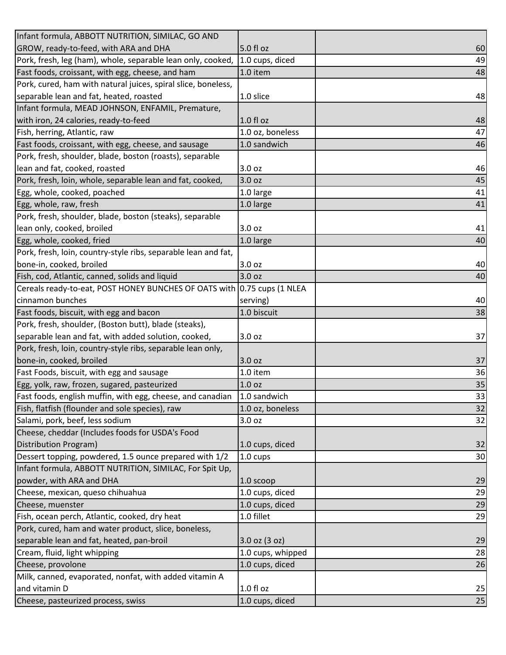| Infant formula, ABBOTT NUTRITION, SIMILAC, GO AND                       |                   |    |
|-------------------------------------------------------------------------|-------------------|----|
| GROW, ready-to-feed, with ARA and DHA                                   | 5.0 fl oz         | 60 |
| Pork, fresh, leg (ham), whole, separable lean only, cooked,             | 1.0 cups, diced   | 49 |
| Fast foods, croissant, with egg, cheese, and ham                        | 1.0 item          | 48 |
| Pork, cured, ham with natural juices, spiral slice, boneless,           |                   |    |
| separable lean and fat, heated, roasted                                 | 1.0 slice         | 48 |
| Infant formula, MEAD JOHNSON, ENFAMIL, Premature,                       |                   |    |
| with iron, 24 calories, ready-to-feed                                   | $1.0 f$ l oz      | 48 |
| Fish, herring, Atlantic, raw                                            | 1.0 oz, boneless  | 47 |
| Fast foods, croissant, with egg, cheese, and sausage                    | 1.0 sandwich      | 46 |
| Pork, fresh, shoulder, blade, boston (roasts), separable                |                   |    |
| lean and fat, cooked, roasted                                           | 3.0 oz            | 46 |
| Pork, fresh, loin, whole, separable lean and fat, cooked,               | 3.0 oz            | 45 |
| Egg, whole, cooked, poached                                             | 1.0 large         | 41 |
| Egg, whole, raw, fresh                                                  | 1.0 large         | 41 |
| Pork, fresh, shoulder, blade, boston (steaks), separable                |                   |    |
| lean only, cooked, broiled                                              | 3.0 <sub>oz</sub> | 41 |
| Egg, whole, cooked, fried                                               | 1.0 large         | 40 |
| Pork, fresh, loin, country-style ribs, separable lean and fat,          |                   |    |
| bone-in, cooked, broiled                                                | 3.0 oz            | 40 |
| Fish, cod, Atlantic, canned, solids and liquid                          | 3.0 oz            | 40 |
| Cereals ready-to-eat, POST HONEY BUNCHES OF OATS with 0.75 cups (1 NLEA |                   |    |
| cinnamon bunches                                                        | serving)          | 40 |
| Fast foods, biscuit, with egg and bacon                                 | 1.0 biscuit       | 38 |
| Pork, fresh, shoulder, (Boston butt), blade (steaks),                   |                   |    |
| separable lean and fat, with added solution, cooked,                    | 3.0 oz            | 37 |
| Pork, fresh, loin, country-style ribs, separable lean only,             |                   |    |
| bone-in, cooked, broiled                                                | 3.0 oz            | 37 |
| Fast Foods, biscuit, with egg and sausage                               | 1.0 item          | 36 |
| Egg, yolk, raw, frozen, sugared, pasteurized                            | 1.0 <sub>oz</sub> | 35 |
| Fast foods, english muffin, with egg, cheese, and canadian              | 1.0 sandwich      | 33 |
| Fish, flatfish (flounder and sole species), raw                         | 1.0 oz, boneless  | 32 |
| Salami, pork, beef, less sodium                                         | 3.0 oz            | 32 |
| Cheese, cheddar (Includes foods for USDA's Food                         |                   |    |
| Distribution Program)                                                   | 1.0 cups, diced   | 32 |
| Dessert topping, powdered, 1.5 ounce prepared with 1/2                  | 1.0 cups          | 30 |
| Infant formula, ABBOTT NUTRITION, SIMILAC, For Spit Up,                 |                   |    |
| powder, with ARA and DHA                                                | 1.0 scoop         | 29 |
| Cheese, mexican, queso chihuahua                                        | 1.0 cups, diced   | 29 |
| Cheese, muenster                                                        | 1.0 cups, diced   | 29 |
| Fish, ocean perch, Atlantic, cooked, dry heat                           | 1.0 fillet        | 29 |
| Pork, cured, ham and water product, slice, boneless,                    |                   |    |
| separable lean and fat, heated, pan-broil                               | $3.0$ oz $(3$ oz) | 29 |
| Cream, fluid, light whipping                                            | 1.0 cups, whipped | 28 |
| Cheese, provolone                                                       | 1.0 cups, diced   | 26 |
| Milk, canned, evaporated, nonfat, with added vitamin A                  |                   |    |
| and vitamin D                                                           | $1.0f$ l oz       | 25 |
| Cheese, pasteurized process, swiss                                      | 1.0 cups, diced   | 25 |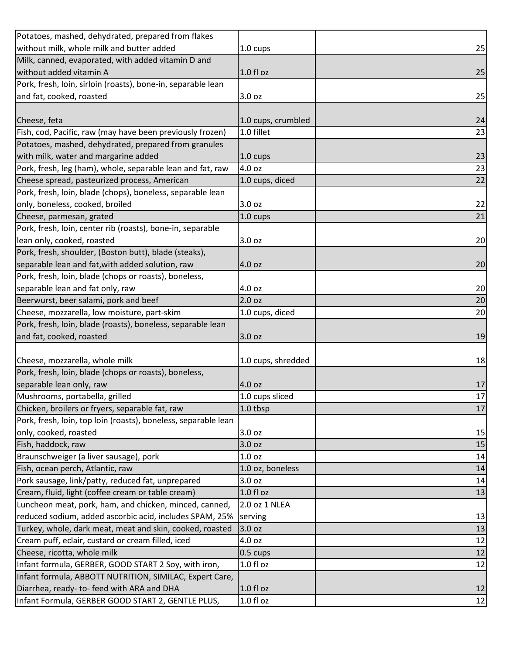| 1.0 cups           | 25                                                                                                                                                                                   |
|--------------------|--------------------------------------------------------------------------------------------------------------------------------------------------------------------------------------|
|                    |                                                                                                                                                                                      |
| $1.0f$ l oz        | 25                                                                                                                                                                                   |
|                    |                                                                                                                                                                                      |
| 3.0 oz             | 25                                                                                                                                                                                   |
|                    |                                                                                                                                                                                      |
| 1.0 cups, crumbled | 24                                                                                                                                                                                   |
| 1.0 fillet         | 23                                                                                                                                                                                   |
|                    |                                                                                                                                                                                      |
| 1.0 cups           | 23                                                                                                                                                                                   |
| 4.0 oz             | 23                                                                                                                                                                                   |
| 1.0 cups, diced    | 22                                                                                                                                                                                   |
|                    |                                                                                                                                                                                      |
| 3.0 oz             | 22                                                                                                                                                                                   |
| 1.0 cups           | 21                                                                                                                                                                                   |
|                    |                                                                                                                                                                                      |
| 3.0 oz             | 20                                                                                                                                                                                   |
|                    |                                                                                                                                                                                      |
| 4.0 oz             | 20                                                                                                                                                                                   |
|                    |                                                                                                                                                                                      |
| 4.0 oz             | 20                                                                                                                                                                                   |
| 2.0 <sub>oz</sub>  | 20                                                                                                                                                                                   |
| 1.0 cups, diced    | 20                                                                                                                                                                                   |
|                    |                                                                                                                                                                                      |
| 3.0 oz             | 19                                                                                                                                                                                   |
|                    |                                                                                                                                                                                      |
| 1.0 cups, shredded | 18                                                                                                                                                                                   |
|                    |                                                                                                                                                                                      |
| 4.0 oz             | 17                                                                                                                                                                                   |
| 1.0 cups sliced    | 17                                                                                                                                                                                   |
| 1.0 tbsp           | 17                                                                                                                                                                                   |
|                    |                                                                                                                                                                                      |
| 3.0 oz             | 15                                                                                                                                                                                   |
| 3.0 oz             | 15                                                                                                                                                                                   |
| 1.0 <sub>oz</sub>  | 14                                                                                                                                                                                   |
| 1.0 oz, boneless   | 14                                                                                                                                                                                   |
| 3.0 oz             | 14                                                                                                                                                                                   |
| $1.0 f$ l oz       | 13                                                                                                                                                                                   |
| 2.0 oz 1 NLEA      |                                                                                                                                                                                      |
| serving            | 13                                                                                                                                                                                   |
| 3.0 oz             | 13                                                                                                                                                                                   |
| 4.0 oz             | 12                                                                                                                                                                                   |
| $0.5 \text{ cups}$ | 12                                                                                                                                                                                   |
| $1.0 f$ l oz       | 12                                                                                                                                                                                   |
|                    |                                                                                                                                                                                      |
| $1.0 f$ l oz       | 12                                                                                                                                                                                   |
| $1.0 f$ l oz       | 12                                                                                                                                                                                   |
|                    | Pork, fresh, loin, top loin (roasts), boneless, separable lean<br>reduced sodium, added ascorbic acid, includes SPAM, 25%<br>Infant formula, ABBOTT NUTRITION, SIMILAC, Expert Care, |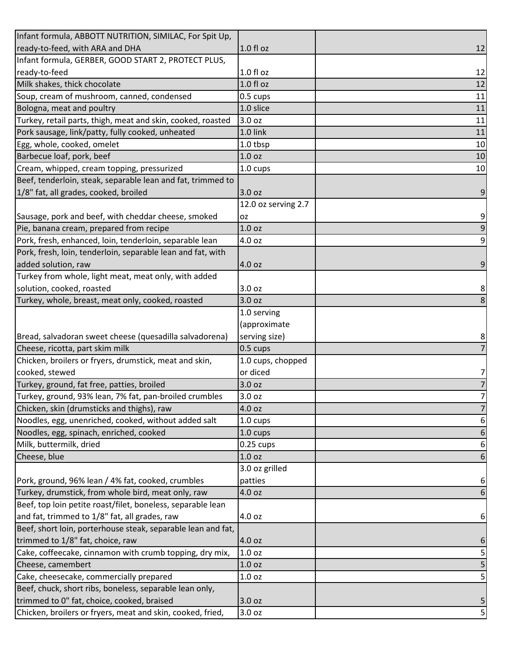| Infant formula, ABBOTT NUTRITION, SIMILAC, For Spit Up,      |                     |                     |
|--------------------------------------------------------------|---------------------|---------------------|
| ready-to-feed, with ARA and DHA                              | $1.0 f$ l oz        | 12                  |
| Infant formula, GERBER, GOOD START 2, PROTECT PLUS,          |                     |                     |
| ready-to-feed                                                | $1.0 f$ l oz        | 12                  |
| Milk shakes, thick chocolate                                 | 1.0 fl oz           | 12                  |
| Soup, cream of mushroom, canned, condensed                   | 0.5 cups            | 11                  |
| Bologna, meat and poultry                                    | 1.0 slice           | 11                  |
| Turkey, retail parts, thigh, meat and skin, cooked, roasted  | 3.0 oz              | 11                  |
| Pork sausage, link/patty, fully cooked, unheated             | 1.0 link            | 11                  |
| Egg, whole, cooked, omelet                                   | 1.0 tbsp            | 10                  |
| Barbecue loaf, pork, beef                                    | 1.0 oz              | 10                  |
| Cream, whipped, cream topping, pressurized                   | 1.0 cups            | 10                  |
| Beef, tenderloin, steak, separable lean and fat, trimmed to  |                     |                     |
| 1/8" fat, all grades, cooked, broiled                        | 3.0 oz              | 9                   |
|                                                              | 12.0 oz serving 2.7 |                     |
| Sausage, pork and beef, with cheddar cheese, smoked          | <b>OZ</b>           | 9                   |
| Pie, banana cream, prepared from recipe                      | 1.0 <sub>oz</sub>   | 9                   |
| Pork, fresh, enhanced, loin, tenderloin, separable lean      | 4.0 oz              | 9                   |
| Pork, fresh, loin, tenderloin, separable lean and fat, with  |                     |                     |
| added solution, raw                                          | 4.0 oz              | 9                   |
| Turkey from whole, light meat, meat only, with added         |                     |                     |
| solution, cooked, roasted                                    | 3.0 oz              | 8                   |
| Turkey, whole, breast, meat only, cooked, roasted            | 3.0 oz              | 8                   |
|                                                              | 1.0 serving         |                     |
|                                                              | (approximate        |                     |
| Bread, salvadoran sweet cheese (quesadilla salvadorena)      | serving size)       | 8                   |
| Cheese, ricotta, part skim milk                              | $0.5 \text{ cups}$  | 7                   |
| Chicken, broilers or fryers, drumstick, meat and skin,       | 1.0 cups, chopped   |                     |
| cooked, stewed                                               | or diced            | 7                   |
|                                                              |                     |                     |
| Turkey, ground, fat free, patties, broiled                   | 3.0 oz              | 7                   |
| Turkey, ground, 93% lean, 7% fat, pan-broiled crumbles       | 3.0 oz              |                     |
| Chicken, skin (drumsticks and thighs), raw                   | 4.0 oz              |                     |
| Noodles, egg, unenriched, cooked, without added salt         | 1.0 cups            | 6                   |
| Noodles, egg, spinach, enriched, cooked                      | $1.0 \text{ cups}$  | 6                   |
| Milk, buttermilk, dried                                      | $0.25 \text{ cups}$ | 6                   |
| Cheese, blue                                                 | 1.0 <sub>oz</sub>   | 6                   |
|                                                              | 3.0 oz grilled      |                     |
| Pork, ground, 96% lean / 4% fat, cooked, crumbles            | patties             | 6                   |
| Turkey, drumstick, from whole bird, meat only, raw           | 4.0 oz              | 6                   |
| Beef, top loin petite roast/filet, boneless, separable lean  |                     |                     |
| and fat, trimmed to 1/8" fat, all grades, raw                | 4.0 oz              | 6                   |
| Beef, short loin, porterhouse steak, separable lean and fat, |                     |                     |
| trimmed to 1/8" fat, choice, raw                             | 4.0 oz              | 6                   |
| Cake, coffeecake, cinnamon with crumb topping, dry mix,      | $1.0$ oz            | 5                   |
| Cheese, camembert                                            | 1.0 <sub>oz</sub>   |                     |
| Cake, cheesecake, commercially prepared                      | 1.0 <sub>oz</sub>   | $\overline{7}$<br>5 |
| Beef, chuck, short ribs, boneless, separable lean only,      |                     |                     |
| trimmed to 0" fat, choice, cooked, braised                   | 3.0 oz<br>3.0 oz    |                     |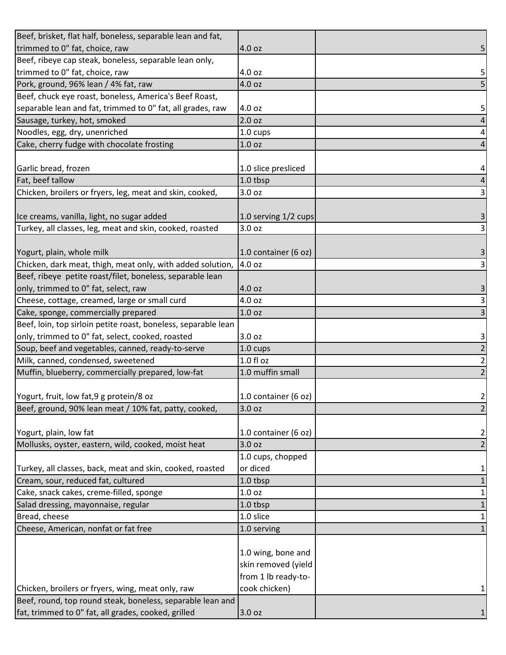| Beef, brisket, flat half, boneless, separable lean and fat,    |                      |   |
|----------------------------------------------------------------|----------------------|---|
| trimmed to 0" fat, choice, raw                                 | 4.0 oz               |   |
| Beef, ribeye cap steak, boneless, separable lean only,         |                      |   |
| trimmed to 0" fat, choice, raw                                 | 4.0 oz               |   |
| Pork, ground, 96% lean / 4% fat, raw                           | 4.0 oz               |   |
| Beef, chuck eye roast, boneless, America's Beef Roast,         |                      |   |
| separable lean and fat, trimmed to 0" fat, all grades, raw     | 4.0 oz               |   |
| Sausage, turkey, hot, smoked                                   | 2.0 oz               |   |
| Noodles, egg, dry, unenriched                                  | 1.0 cups             |   |
| Cake, cherry fudge with chocolate frosting                     | 1.0 <sub>oz</sub>    |   |
|                                                                |                      |   |
| Garlic bread, frozen                                           | 1.0 slice presliced  |   |
| Fat, beef tallow                                               | 1.0 tbsp             |   |
| Chicken, broilers or fryers, leg, meat and skin, cooked,       | 3.0 oz               |   |
|                                                                |                      |   |
| Ice creams, vanilla, light, no sugar added                     | 1.0 serving 1/2 cups |   |
| Turkey, all classes, leg, meat and skin, cooked, roasted       | 3.0 oz               |   |
| Yogurt, plain, whole milk                                      | 1.0 container (6 oz) |   |
| Chicken, dark meat, thigh, meat only, with added solution,     | 4.0 oz               |   |
| Beef, ribeye petite roast/filet, boneless, separable lean      |                      |   |
| only, trimmed to 0" fat, select, raw                           | 4.0 oz               |   |
| Cheese, cottage, creamed, large or small curd                  | 4.0 oz               |   |
| Cake, sponge, commercially prepared                            | 1.0 <sub>oz</sub>    |   |
| Beef, loin, top sirloin petite roast, boneless, separable lean |                      |   |
| only, trimmed to 0" fat, select, cooked, roasted               | 3.0 <sub>oz</sub>    |   |
| Soup, beef and vegetables, canned, ready-to-serve              | 1.0 cups             |   |
| Milk, canned, condensed, sweetened                             | 1.0 f1 oz            |   |
| Muffin, blueberry, commercially prepared, low-fat              | 1.0 muffin small     |   |
|                                                                |                      |   |
| Yogurt, fruit, low fat, 9 g protein/8 oz                       | 1.0 container (6 oz) | 2 |
| Beef, ground, 90% lean meat / 10% fat, patty, cooked,          | 3.0 oz               |   |
|                                                                |                      |   |
| Yogurt, plain, low fat                                         | 1.0 container (6 oz) | 2 |
| Mollusks, oyster, eastern, wild, cooked, moist heat            | 3.0 oz               |   |
|                                                                | 1.0 cups, chopped    |   |
| Turkey, all classes, back, meat and skin, cooked, roasted      | or diced             |   |
| Cream, sour, reduced fat, cultured                             | 1.0 tbsp             |   |
| Cake, snack cakes, creme-filled, sponge                        | 1.0 <sub>oz</sub>    |   |
| Salad dressing, mayonnaise, regular                            | 1.0 tbsp             |   |
| Bread, cheese                                                  | 1.0 slice            |   |
| Cheese, American, nonfat or fat free                           | 1.0 serving          |   |
|                                                                |                      |   |
|                                                                | 1.0 wing, bone and   |   |
|                                                                | skin removed (yield  |   |
|                                                                | from 1 lb ready-to-  |   |
| Chicken, broilers or fryers, wing, meat only, raw              | cook chicken)        |   |
| Beef, round, top round steak, boneless, separable lean and     |                      |   |
| fat, trimmed to 0" fat, all grades, cooked, grilled            | 3.0 oz               |   |